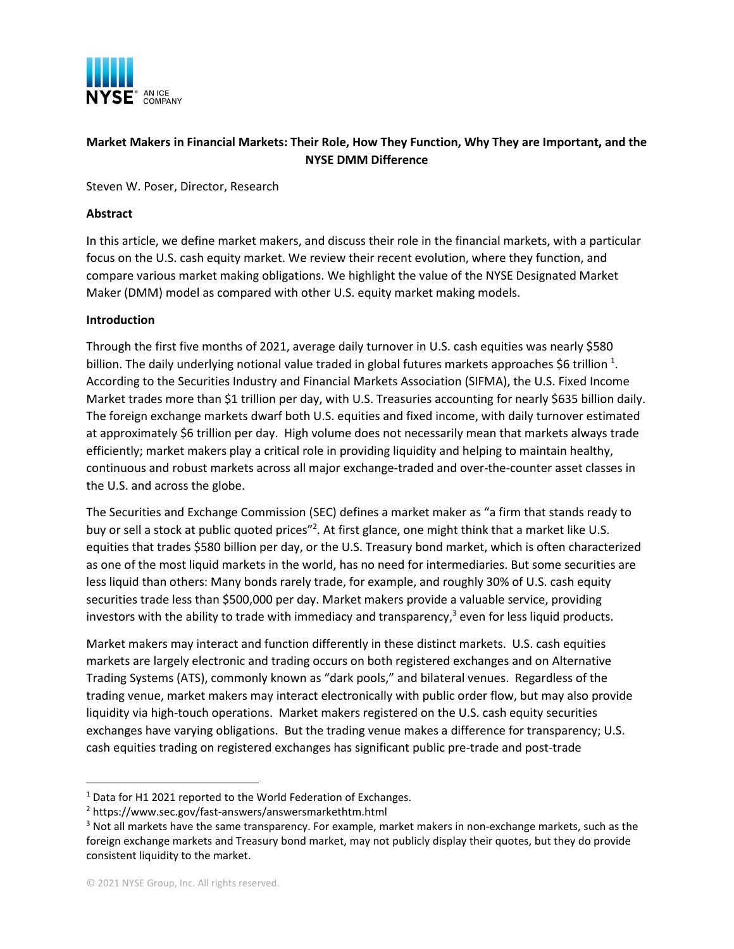

# **Market Makers in Financial Markets: Their Role, How They Function, Why They are Important, and the NYSE DMM Difference**

Steven W. Poser, Director, Research

#### **Abstract**

In this article, we define market makers, and discuss their role in the financial markets, with a particular focus on the U.S. cash equity market. We review their recent evolution, where they function, and compare various market making obligations. We highlight the value of the NYSE Designated Market Maker (DMM) model as compared with other U.S. equity market making models.

#### **Introduction**

Through the first five months of 2021, average daily turnover in U.S. cash equities was nearly \$580 billion. The daily underlying notional value traded in global futures markets approaches \$6 trillion  $^{1}$ . According to the Securities Industry and Financial Markets Association (SIFMA), the U.S. Fixed Income Market trades more than \$1 trillion per day, with U.S. Treasuries accounting for nearly \$635 billion daily. The foreign exchange markets dwarf both U.S. equities and fixed income, with daily turnover estimated at approximately \$6 trillion per day. High volume does not necessarily mean that markets always trade efficiently; market makers play a critical role in providing liquidity and helping to maintain healthy, continuous and robust markets across all major exchange-traded and over-the-counter asset classes in the U.S. and across the globe.

The Securities and Exchange Commission (SEC) defines a market maker as "a firm that stands ready to buy or sell a stock at public quoted prices"<sup>2</sup>. At first glance, one might think that a market like U.S. equities that trades \$580 billion per day, or the U.S. Treasury bond market, which is often characterized as one of the most liquid markets in the world, has no need for intermediaries. But some securities are less liquid than others: Many bonds rarely trade, for example, and roughly 30% of U.S. cash equity securities trade less than \$500,000 per day. Market makers provide a valuable service, providing investors with the ability to trade with immediacy and transparency, $3$  even for less liquid products.

Market makers may interact and function differently in these distinct markets. U.S. cash equities markets are largely electronic and trading occurs on both registered exchanges and on Alternative Trading Systems (ATS), commonly known as "dark pools," and bilateral venues. Regardless of the trading venue, market makers may interact electronically with public order flow, but may also provide liquidity via high-touch operations. Market makers registered on the U.S. cash equity securities exchanges have varying obligations. But the trading venue makes a difference for transparency; U.S. cash equities trading on registered exchanges has significant public pre-trade and post-trade

<sup>&</sup>lt;sup>1</sup> Data for H1 2021 reported to the World Federation of Exchanges.

<sup>2</sup> https://www.sec.gov/fast-answers/answersmarkethtm.html

<sup>3</sup> Not all markets have the same transparency. For example, market makers in non-exchange markets, such as the foreign exchange markets and Treasury bond market, may not publicly display their quotes, but they do provide consistent liquidity to the market.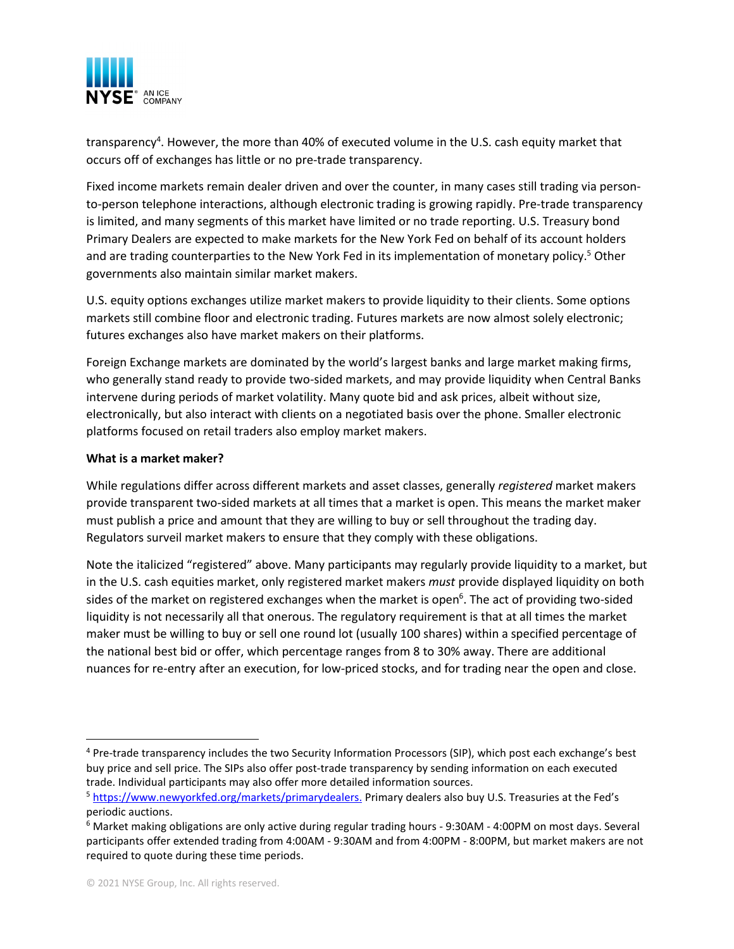

transparency<sup>4</sup>. However, the more than 40% of executed volume in the U.S. cash equity market that occurs off of exchanges has little or no pre-trade transparency.

Fixed income markets remain dealer driven and over the counter, in many cases still trading via personto-person telephone interactions, although electronic trading is growing rapidly. Pre-trade transparency is limited, and many segments of this market have limited or no trade reporting. U.S. Treasury bond Primary Dealers are expected to make markets for the New York Fed on behalf of its account holders and are trading counterparties to the New York Fed in its implementation of monetary policy.<sup>5</sup> Other governments also maintain similar market makers.

U.S. equity options exchanges utilize market makers to provide liquidity to their clients. Some options markets still combine floor and electronic trading. Futures markets are now almost solely electronic; futures exchanges also have market makers on their platforms.

Foreign Exchange markets are dominated by the world's largest banks and large market making firms, who generally stand ready to provide two-sided markets, and may provide liquidity when Central Banks intervene during periods of market volatility. Many quote bid and ask prices, albeit without size, electronically, but also interact with clients on a negotiated basis over the phone. Smaller electronic platforms focused on retail traders also employ market makers.

## **What is a market maker?**

While regulations differ across different markets and asset classes, generally *registered* market makers provide transparent two-sided markets at all times that a market is open. This means the market maker must publish a price and amount that they are willing to buy or sell throughout the trading day. Regulators surveil market makers to ensure that they comply with these obligations.

Note the italicized "registered" above. Many participants may regularly provide liquidity to a market, but in the U.S. cash equities market, only registered market makers *must* provide displayed liquidity on both sides of the market on registered exchanges when the market is open<sup>6</sup>. The act of providing two-sided liquidity is not necessarily all that onerous. The regulatory requirement is that at all times the market maker must be willing to buy or sell one round lot (usually 100 shares) within a specified percentage of the national best bid or offer, which percentage ranges from 8 to 30% away. There are additional nuances for re-entry after an execution, for low-priced stocks, and for trading near the open and close.

<sup>4</sup> Pre-trade transparency includes the two Security Information Processors (SIP), which post each exchange's best buy price and sell price. The SIPs also offer post-trade transparency by sending information on each executed trade. Individual participants may also offer more detailed information sources.

<sup>5</sup> https://www.newyorkfed.org/markets/primarydealers. Primary dealers also buy U.S. Treasuries at the Fed's periodic auctions.

<sup>6</sup> Market making obligations are only active during regular trading hours - 9:30AM - 4:00PM on most days. Several participants offer extended trading from 4:00AM - 9:30AM and from 4:00PM - 8:00PM, but market makers are not required to quote during these time periods.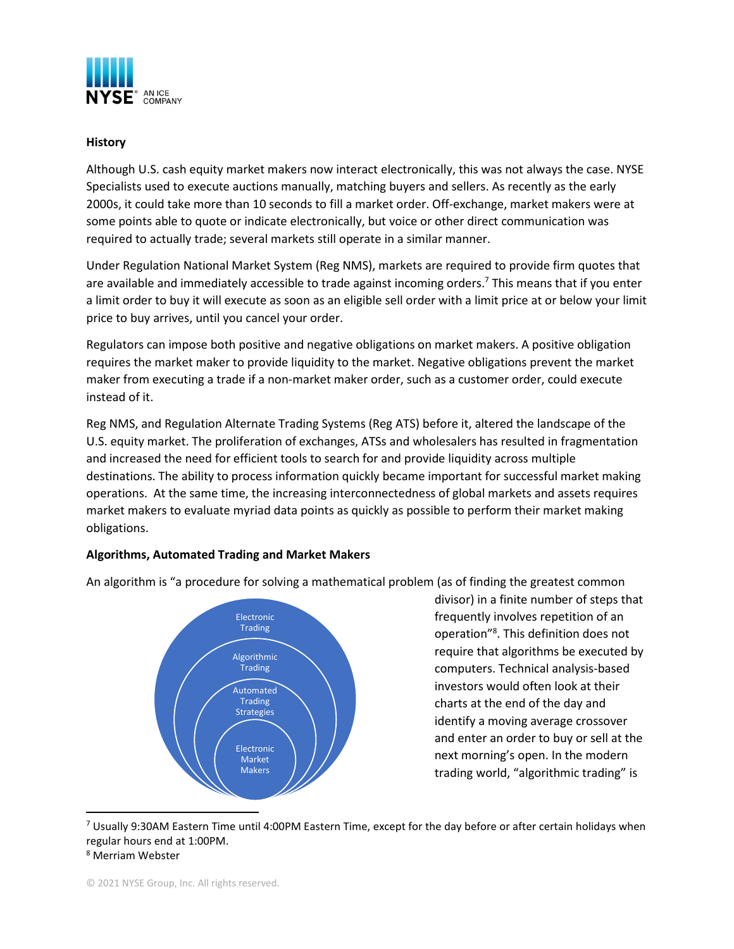

### **History**

Although U.S. cash equity market makers now interact electronically, this was not always the case. NYSE Specialists used to execute auctions manually, matching buyers and sellers. As recently as the early 2000s, it could take more than 10 seconds to fill a market order. Off-exchange, market makers were at some points able to quote or indicate electronically, but voice or other direct communication was required to actually trade; several markets still operate in a similar manner.

Under Regulation National Market System (Reg NMS), markets are required to provide firm quotes that are available and immediately accessible to trade against incoming orders.<sup>7</sup> This means that if you enter a limit order to buy it will execute as soon as an eligible sell order with a limit price at or below your limit price to buy arrives, until you cancel your order.

Regulators can impose both positive and negative obligations on market makers. A positive obligation requires the market maker to provide liquidity to the market. Negative obligations prevent the market maker from executing a trade if a non-market maker order, such as a customer order, could execute instead of it.

Reg NMS, and Regulation Alternate Trading Systems (Reg ATS) before it, altered the landscape of the U.S. equity market. The proliferation of exchanges, ATSs and wholesalers has resulted in fragmentation and increased the need for efficient tools to search for and provide liquidity across multiple destinations. The ability to process information quickly became important for successful market making operations. At the same time, the increasing interconnectedness of global markets and assets requires market makers to evaluate myriad data points as quickly as possible to perform their market making obligations.

#### **Algorithms, Automated Trading and Market Makers**

An algorithm is "a procedure for solving a mathematical problem (as of finding the greatest common



divisor) in a finite number of steps that frequently involves repetition of an operation"<sup>8</sup> . This definition does not require that algorithms be executed by computers. Technical analysis-based investors would often look at their charts at the end of the day and identify a moving average crossover and enter an order to buy or sell at the next morning's open. In the modern trading world, "algorithmic trading" is

 $7$  Usually 9:30AM Eastern Time until 4:00PM Eastern Time, except for the day before or after certain holidays when regular hours end at 1:00PM.

<sup>8</sup> Merriam Webster

<sup>© 2021</sup> NYSE Group, Inc. All rights reserved.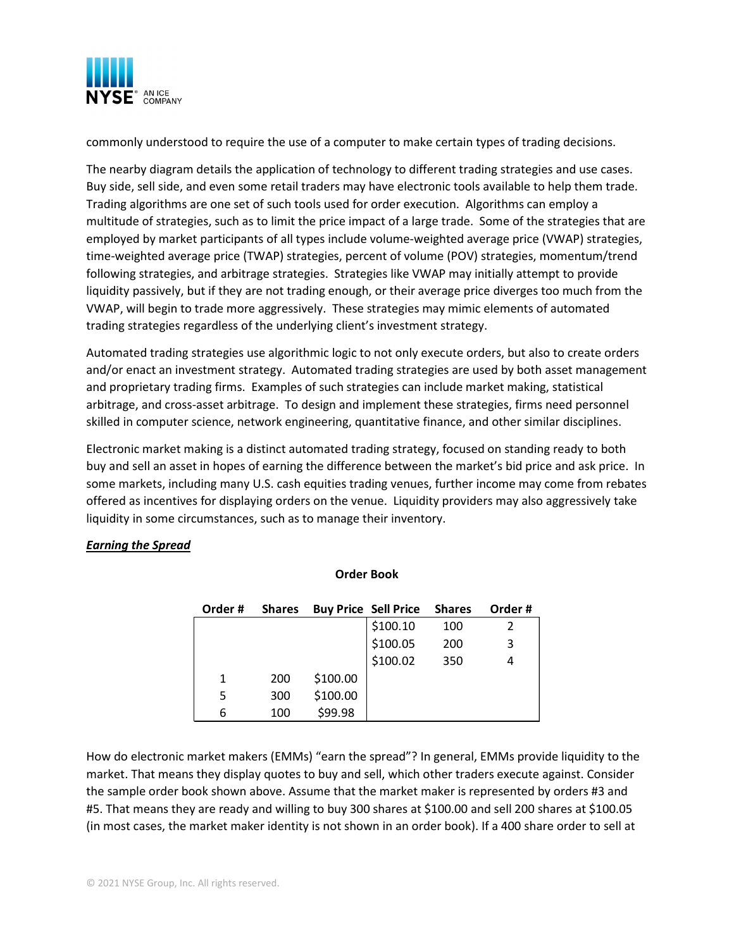

commonly understood to require the use of a computer to make certain types of trading decisions.

The nearby diagram details the application of technology to different trading strategies and use cases. Buy side, sell side, and even some retail traders may have electronic tools available to help them trade. Trading algorithms are one set of such tools used for order execution. Algorithms can employ a multitude of strategies, such as to limit the price impact of a large trade. Some of the strategies that are employed by market participants of all types include volume-weighted average price (VWAP) strategies, time-weighted average price (TWAP) strategies, percent of volume (POV) strategies, momentum/trend following strategies, and arbitrage strategies. Strategies like VWAP may initially attempt to provide liquidity passively, but if they are not trading enough, or their average price diverges too much from the VWAP, will begin to trade more aggressively. These strategies may mimic elements of automated trading strategies regardless of the underlying client's investment strategy.

Automated trading strategies use algorithmic logic to not only execute orders, but also to create orders and/or enact an investment strategy. Automated trading strategies are used by both asset management and proprietary trading firms. Examples of such strategies can include market making, statistical arbitrage, and cross-asset arbitrage. To design and implement these strategies, firms need personnel skilled in computer science, network engineering, quantitative finance, and other similar disciplines.

Electronic market making is a distinct automated trading strategy, focused on standing ready to both buy and sell an asset in hopes of earning the difference between the market's bid price and ask price. In some markets, including many U.S. cash equities trading venues, further income may come from rebates offered as incentives for displaying orders on the venue. Liquidity providers may also aggressively take liquidity in some circumstances, such as to manage their inventory.

#### *Earning the Spread*

| Order# | <b>Shares</b> |          | <b>Buy Price Sell Price</b> | <b>Shares</b> | Order# |
|--------|---------------|----------|-----------------------------|---------------|--------|
|        |               |          | \$100.10                    | 100           | 2      |
|        |               |          | \$100.05                    | 200           | 3      |
|        |               |          | \$100.02                    | 350           | 4      |
| 1      | 200           | \$100.00 |                             |               |        |
| 5      | 300           | \$100.00 |                             |               |        |
| 6      | 100           | \$99.98  |                             |               |        |

#### **Order Book**

How do electronic market makers (EMMs) "earn the spread"? In general, EMMs provide liquidity to the market. That means they display quotes to buy and sell, which other traders execute against. Consider the sample order book shown above. Assume that the market maker is represented by orders #3 and #5. That means they are ready and willing to buy 300 shares at \$100.00 and sell 200 shares at \$100.05 (in most cases, the market maker identity is not shown in an order book). If a 400 share order to sell at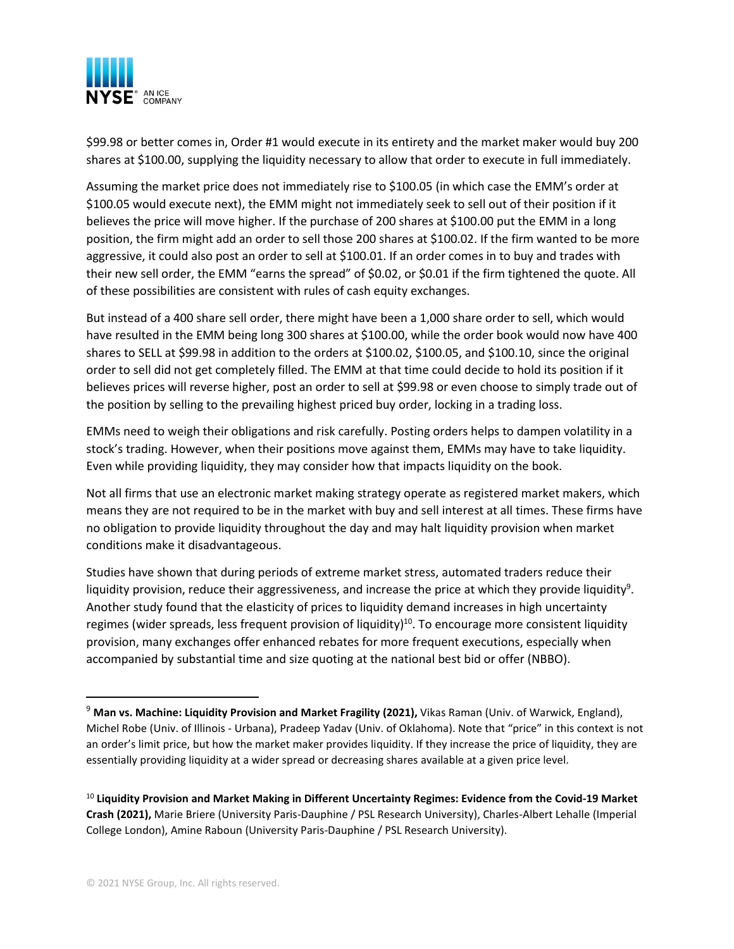

\$99.98 or better comes in, Order #1 would execute in its entirety and the market maker would buy 200 shares at \$100.00, supplying the liquidity necessary to allow that order to execute in full immediately.

Assuming the market price does not immediately rise to \$100.05 (in which case the EMM's order at \$100.05 would execute next), the EMM might not immediately seek to sell out of their position if it believes the price will move higher. If the purchase of 200 shares at \$100.00 put the EMM in a long position, the firm might add an order to sell those 200 shares at \$100.02. If the firm wanted to be more aggressive, it could also post an order to sell at \$100.01. If an order comes in to buy and trades with their new sell order, the EMM "earns the spread" of \$0.02, or \$0.01 if the firm tightened the quote. All of these possibilities are consistent with rules of cash equity exchanges.

But instead of a 400 share sell order, there might have been a 1,000 share order to sell, which would have resulted in the EMM being long 300 shares at \$100.00, while the order book would now have 400 shares to SELL at \$99.98 in addition to the orders at \$100.02, \$100.05, and \$100.10, since the original order to sell did not get completely filled. The EMM at that time could decide to hold its position if it believes prices will reverse higher, post an order to sell at \$99.98 or even choose to simply trade out of the position by selling to the prevailing highest priced buy order, locking in a trading loss.

EMMs need to weigh their obligations and risk carefully. Posting orders helps to dampen volatility in a stock's trading. However, when their positions move against them, EMMs may have to take liquidity. Even while providing liquidity, they may consider how that impacts liquidity on the book.

Not all firms that use an electronic market making strategy operate as registered market makers, which means they are not required to be in the market with buy and sell interest at all times. These firms have no obligation to provide liquidity throughout the day and may halt liquidity provision when market conditions make it disadvantageous.

Studies have shown that during periods of extreme market stress, automated traders reduce their liquidity provision, reduce their aggressiveness, and increase the price at which they provide liquidity<sup>9</sup>. Another study found that the elasticity of prices to liquidity demand increases in high uncertainty regimes (wider spreads, less frequent provision of liquidity)<sup>10</sup>. To encourage more consistent liquidity provision, many exchanges offer enhanced rebates for more frequent executions, especially when accompanied by substantial time and size quoting at the national best bid or offer (NBBO).

<sup>9</sup> **Man vs. Machine: Liquidity Provision and Market Fragility (2021),** Vikas Raman (Univ. of Warwick, England), Michel Robe (Univ. of Illinois - Urbana), Pradeep Yadav (Univ. of Oklahoma). Note that "price" in this context is not an order's limit price, but how the market maker provides liquidity. If they increase the price of liquidity, they are essentially providing liquidity at a wider spread or decreasing shares available at a given price level.

<sup>10</sup> **Liquidity Provision and Market Making in Different Uncertainty Regimes: Evidence from the Covid-19 Market Crash (2021),** Marie Briere (University Paris-Dauphine / PSL Research University), Charles-Albert Lehalle (Imperial College London), Amine Raboun (University Paris-Dauphine / PSL Research University).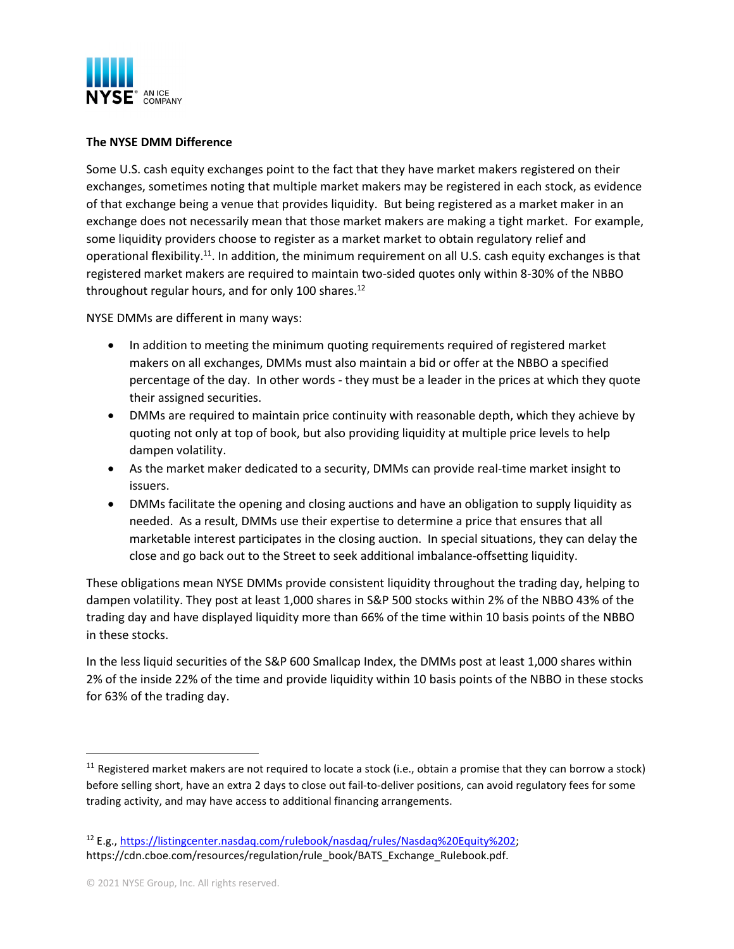

#### **The NYSE DMM Difference**

Some U.S. cash equity exchanges point to the fact that they have market makers registered on their exchanges, sometimes noting that multiple market makers may be registered in each stock, as evidence of that exchange being a venue that provides liquidity. But being registered as a market maker in an exchange does not necessarily mean that those market makers are making a tight market. For example, some liquidity providers choose to register as a market market to obtain regulatory relief and operational flexibility.<sup>11</sup>. In addition, the minimum requirement on all U.S. cash equity exchanges is that registered market makers are required to maintain two-sided quotes only within 8-30% of the NBBO throughout regular hours, and for only 100 shares.<sup>12</sup>

NYSE DMMs are different in many ways:

- In addition to meeting the minimum quoting requirements required of registered market makers on all exchanges, DMMs must also maintain a bid or offer at the NBBO a specified percentage of the day. In other words - they must be a leader in the prices at which they quote their assigned securities.
- DMMs are required to maintain price continuity with reasonable depth, which they achieve by quoting not only at top of book, but also providing liquidity at multiple price levels to help dampen volatility.
- As the market maker dedicated to a security, DMMs can provide real-time market insight to issuers.
- DMMs facilitate the opening and closing auctions and have an obligation to supply liquidity as needed. As a result, DMMs use their expertise to determine a price that ensures that all marketable interest participates in the closing auction. In special situations, they can delay the close and go back out to the Street to seek additional imbalance-offsetting liquidity.

These obligations mean NYSE DMMs provide consistent liquidity throughout the trading day, helping to dampen volatility. They post at least 1,000 shares in S&P 500 stocks within 2% of the NBBO 43% of the trading day and have displayed liquidity more than 66% of the time within 10 basis points of the NBBO in these stocks.

In the less liquid securities of the S&P 600 Smallcap Index, the DMMs post at least 1,000 shares within 2% of the inside 22% of the time and provide liquidity within 10 basis points of the NBBO in these stocks for 63% of the trading day.

 $11$  Registered market makers are not required to locate a stock (i.e., obtain a promise that they can borrow a stock) before selling short, have an extra 2 days to close out fail-to-deliver positions, can avoid regulatory fees for some trading activity, and may have access to additional financing arrangements.

<sup>12</sup> E.g., https://listingcenter.nasdaq.com/rulebook/nasdaq/rules/Nasdaq%20Equity%202; https://cdn.cboe.com/resources/regulation/rule\_book/BATS\_Exchange\_Rulebook.pdf.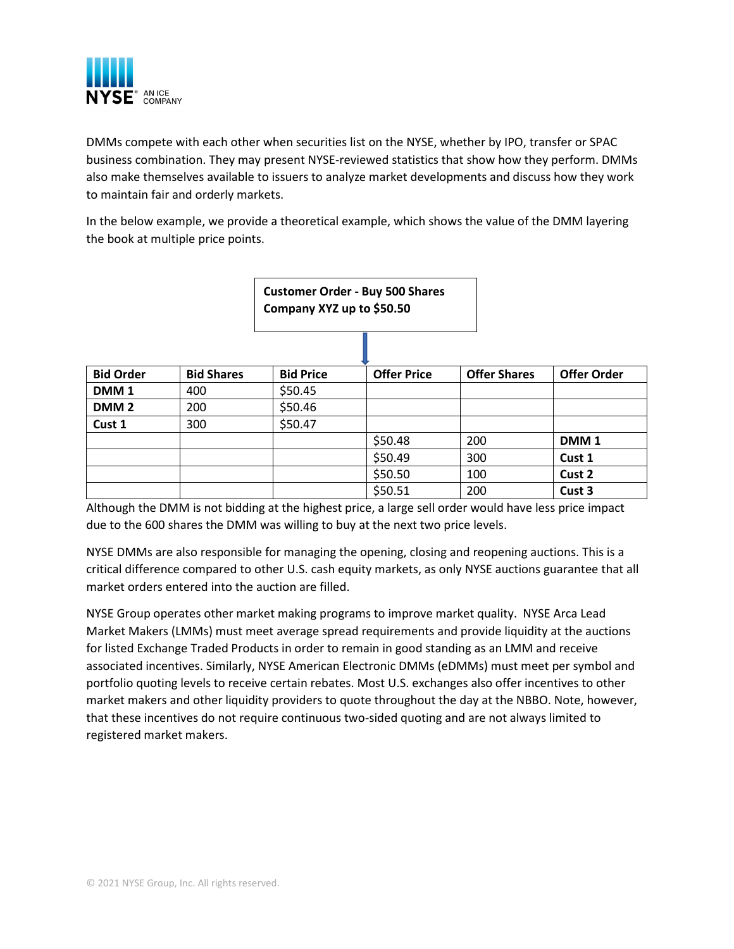

DMMs compete with each other when securities list on the NYSE, whether by IPO, transfer or SPAC business combination. They may present NYSE-reviewed statistics that show how they perform. DMMs also make themselves available to issuers to analyze market developments and discuss how they work to maintain fair and orderly markets.

In the below example, we provide a theoretical example, which shows the value of the DMM layering the book at multiple price points.



Although the DMM is not bidding at the highest price, a large sell order would have less price impact due to the 600 shares the DMM was willing to buy at the next two price levels.

NYSE DMMs are also responsible for managing the opening, closing and reopening auctions. This is a critical difference compared to other U.S. cash equity markets, as only NYSE auctions guarantee that all market orders entered into the auction are filled.

NYSE Group operates other market making programs to improve market quality. NYSE Arca Lead Market Makers (LMMs) must meet average spread requirements and provide liquidity at the auctions for listed Exchange Traded Products in order to remain in good standing as an LMM and receive associated incentives. Similarly, NYSE American Electronic DMMs (eDMMs) must meet per symbol and portfolio quoting levels to receive certain rebates. Most U.S. exchanges also offer incentives to other market makers and other liquidity providers to quote throughout the day at the NBBO. Note, however, that these incentives do not require continuous two-sided quoting and are not always limited to registered market makers.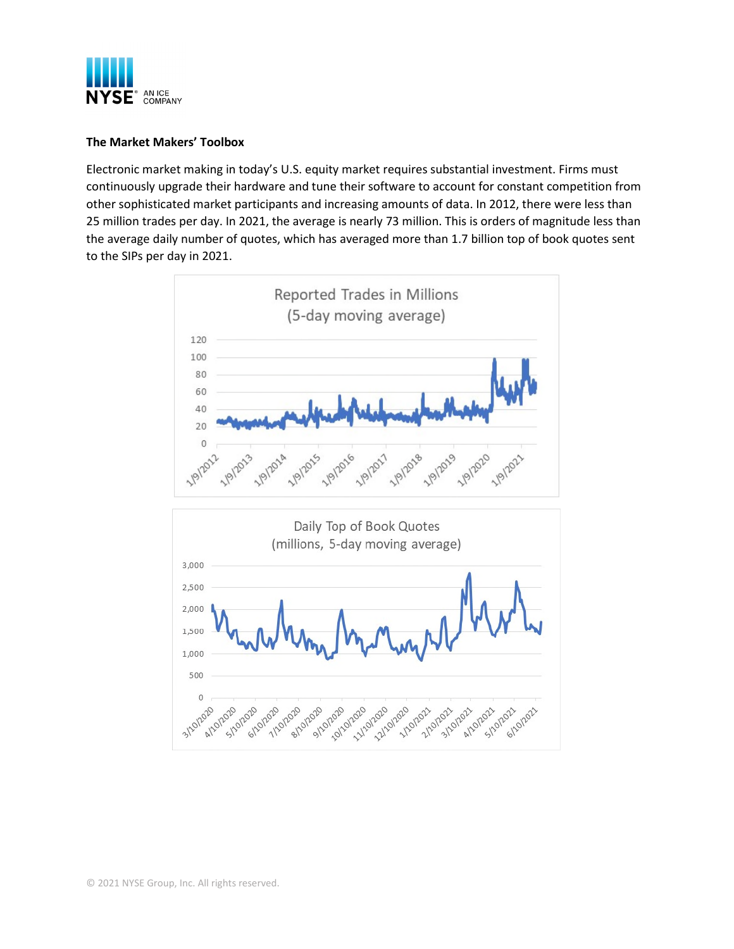

#### **The Market Makers' Toolbox**

Electronic market making in today's U.S. equity market requires substantial investment. Firms must continuously upgrade their hardware and tune their software to account for constant competition from other sophisticated market participants and increasing amounts of data. In 2012, there were less than 25 million trades per day. In 2021, the average is nearly 73 million. This is orders of magnitude less than the average daily number of quotes, which has averaged more than 1.7 billion top of book quotes sent to the SIPs per day in 2021.



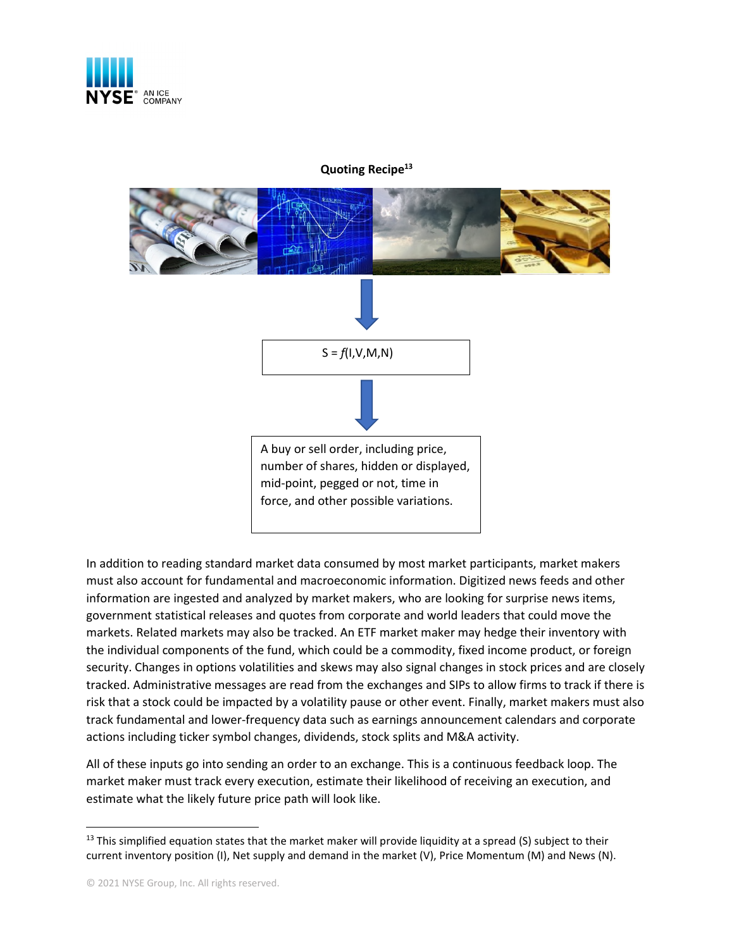

### **Quoting Recipe<sup>13</sup>**



In addition to reading standard market data consumed by most market participants, market makers must also account for fundamental and macroeconomic information. Digitized news feeds and other information are ingested and analyzed by market makers, who are looking for surprise news items, government statistical releases and quotes from corporate and world leaders that could move the markets. Related markets may also be tracked. An ETF market maker may hedge their inventory with the individual components of the fund, which could be a commodity, fixed income product, or foreign security. Changes in options volatilities and skews may also signal changes in stock prices and are closely tracked. Administrative messages are read from the exchanges and SIPs to allow firms to track if there is risk that a stock could be impacted by a volatility pause or other event. Finally, market makers must also track fundamental and lower-frequency data such as earnings announcement calendars and corporate actions including ticker symbol changes, dividends, stock splits and M&A activity.

All of these inputs go into sending an order to an exchange. This is a continuous feedback loop. The market maker must track every execution, estimate their likelihood of receiving an execution, and estimate what the likely future price path will look like.

 $13$  This simplified equation states that the market maker will provide liquidity at a spread (S) subject to their current inventory position (I), Net supply and demand in the market (V), Price Momentum (M) and News (N).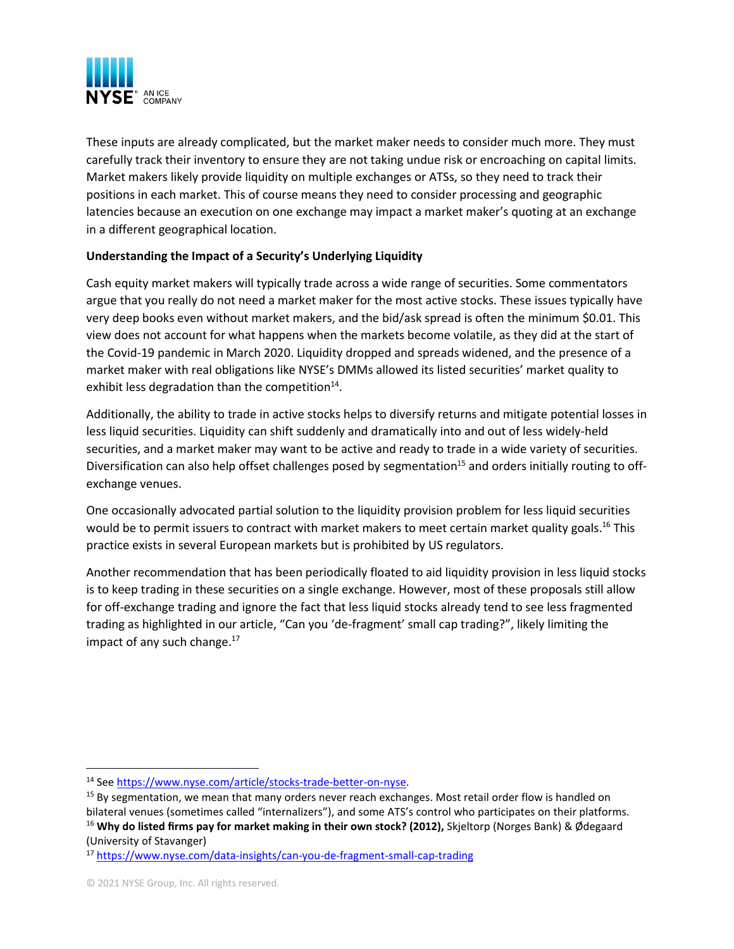

These inputs are already complicated, but the market maker needs to consider much more. They must carefully track their inventory to ensure they are not taking undue risk or encroaching on capital limits. Market makers likely provide liquidity on multiple exchanges or ATSs, so they need to track their positions in each market. This of course means they need to consider processing and geographic latencies because an execution on one exchange may impact a market maker's quoting at an exchange in a different geographical location.

## **Understanding the Impact of a Security's Underlying Liquidity**

Cash equity market makers will typically trade across a wide range of securities. Some commentators argue that you really do not need a market maker for the most active stocks. These issues typically have very deep books even without market makers, and the bid/ask spread is often the minimum \$0.01. This view does not account for what happens when the markets become volatile, as they did at the start of the Covid-19 pandemic in March 2020. Liquidity dropped and spreads widened, and the presence of a market maker with real obligations like NYSE's DMMs allowed its listed securities' market quality to exhibit less degradation than the competition<sup>14</sup>.

Additionally, the ability to trade in active stocks helps to diversify returns and mitigate potential losses in less liquid securities. Liquidity can shift suddenly and dramatically into and out of less widely-held securities, and a market maker may want to be active and ready to trade in a wide variety of securities. Diversification can also help offset challenges posed by segmentation<sup>15</sup> and orders initially routing to offexchange venues.

One occasionally advocated partial solution to the liquidity provision problem for less liquid securities would be to permit issuers to contract with market makers to meet certain market quality goals.<sup>16</sup> This practice exists in several European markets but is prohibited by US regulators.

Another recommendation that has been periodically floated to aid liquidity provision in less liquid stocks is to keep trading in these securities on a single exchange. However, most of these proposals still allow for off-exchange trading and ignore the fact that less liquid stocks already tend to see less fragmented trading as highlighted in our article, "Can you 'de-fragment' small cap trading?", likely limiting the impact of any such change. $17$ 

<sup>14</sup> See https://www.nyse.com/article/stocks-trade-better-on-nyse.

<sup>&</sup>lt;sup>15</sup> By segmentation, we mean that many orders never reach exchanges. Most retail order flow is handled on bilateral venues (sometimes called "internalizers"), and some ATS's control who participates on their platforms. <sup>16</sup> **Why do listed firms pay for market making in their own stock? (2012),** Skjeltorp (Norges Bank) & Ødegaard (University of Stavanger)

<sup>17</sup> https://www.nyse.com/data-insights/can-you-de-fragment-small-cap-trading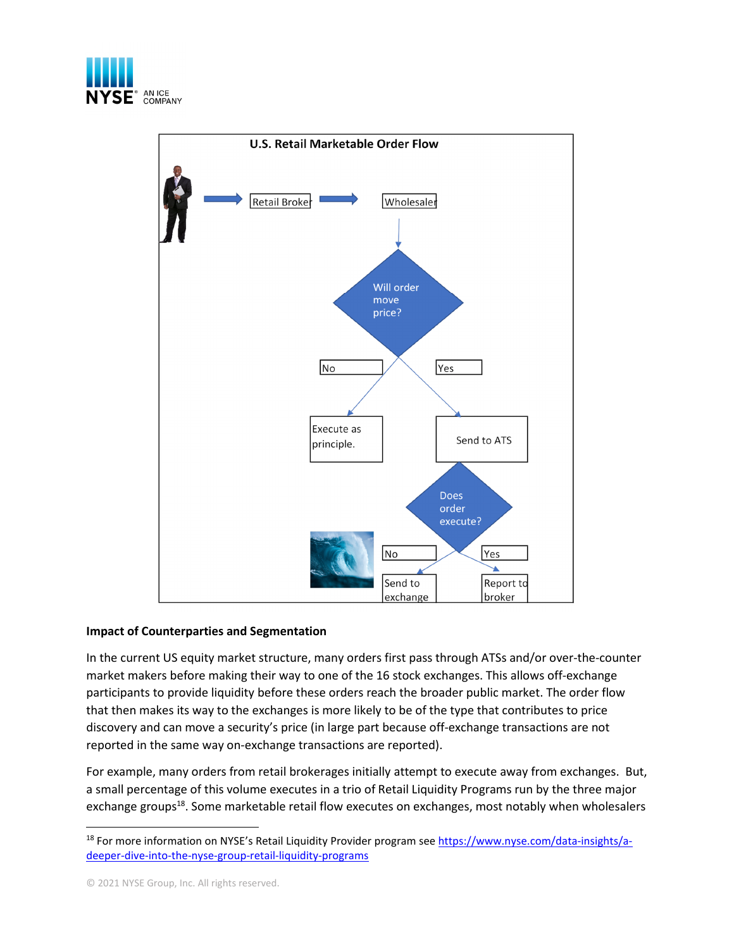



#### **Impact of Counterparties and Segmentation**

In the current US equity market structure, many orders first pass through ATSs and/or over-the-counter market makers before making their way to one of the 16 stock exchanges. This allows off-exchange participants to provide liquidity before these orders reach the broader public market. The order flow that then makes its way to the exchanges is more likely to be of the type that contributes to price discovery and can move a security's price (in large part because off-exchange transactions are not reported in the same way on-exchange transactions are reported).

For example, many orders from retail brokerages initially attempt to execute away from exchanges. But, a small percentage of this volume executes in a trio of Retail Liquidity Programs run by the three major exchange groups<sup>18</sup>. Some marketable retail flow executes on exchanges, most notably when wholesalers

© 2021 NYSE Group, Inc. All rights reserved.

<sup>&</sup>lt;sup>18</sup> For more information on NYSE's Retail Liquidity Provider program see https://www.nyse.com/data-insights/adeeper-dive-into-the-nyse-group-retail-liquidity-programs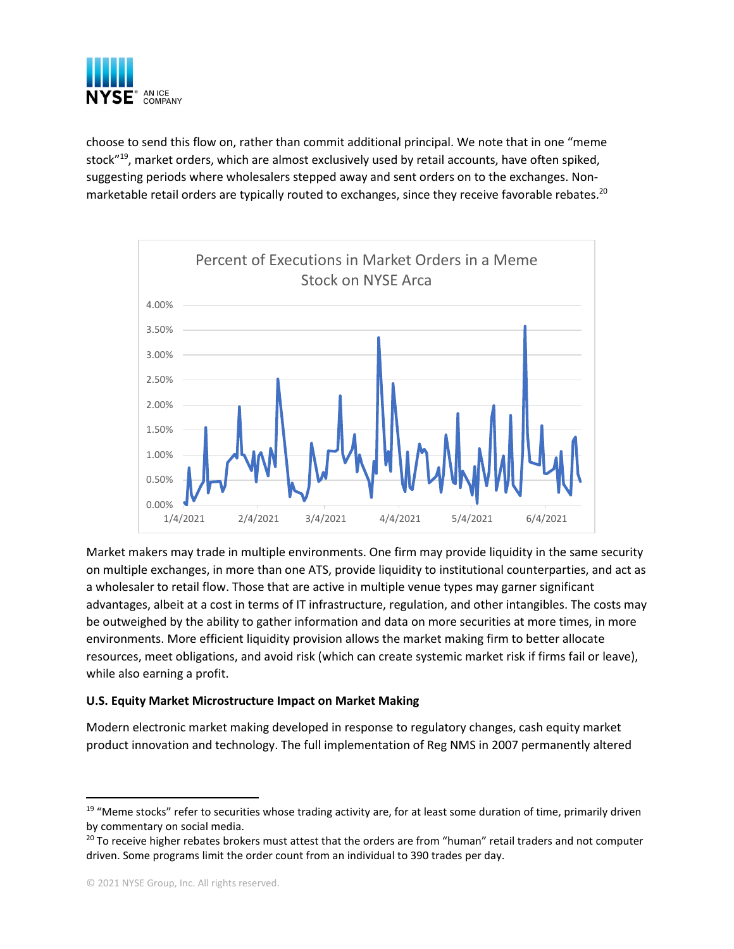

choose to send this flow on, rather than commit additional principal. We note that in one "meme stock"<sup>19</sup>, market orders, which are almost exclusively used by retail accounts, have often spiked, suggesting periods where wholesalers stepped away and sent orders on to the exchanges. Nonmarketable retail orders are typically routed to exchanges, since they receive favorable rebates.<sup>20</sup>



Market makers may trade in multiple environments. One firm may provide liquidity in the same security on multiple exchanges, in more than one ATS, provide liquidity to institutional counterparties, and act as a wholesaler to retail flow. Those that are active in multiple venue types may garner significant advantages, albeit at a cost in terms of IT infrastructure, regulation, and other intangibles. The costs may be outweighed by the ability to gather information and data on more securities at more times, in more environments. More efficient liquidity provision allows the market making firm to better allocate resources, meet obligations, and avoid risk (which can create systemic market risk if firms fail or leave), while also earning a profit.

#### **U.S. Equity Market Microstructure Impact on Market Making**

Modern electronic market making developed in response to regulatory changes, cash equity market product innovation and technology. The full implementation of Reg NMS in 2007 permanently altered

 $19$  "Meme stocks" refer to securities whose trading activity are, for at least some duration of time, primarily driven by commentary on social media.

<sup>&</sup>lt;sup>20</sup> To receive higher rebates brokers must attest that the orders are from "human" retail traders and not computer driven. Some programs limit the order count from an individual to 390 trades per day.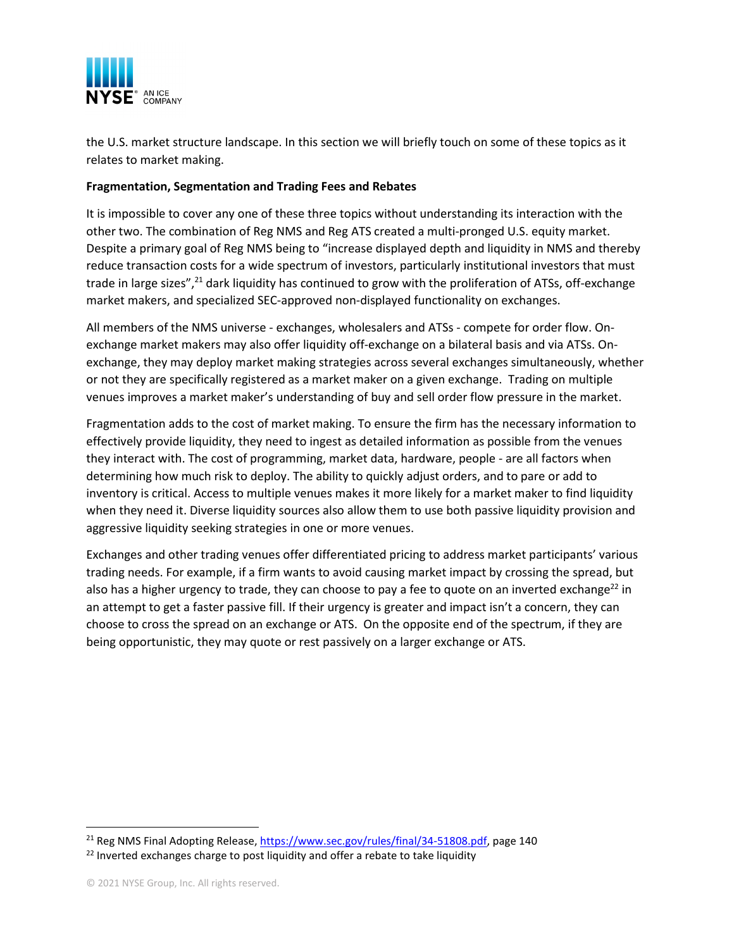

the U.S. market structure landscape. In this section we will briefly touch on some of these topics as it relates to market making.

#### **Fragmentation, Segmentation and Trading Fees and Rebates**

It is impossible to cover any one of these three topics without understanding its interaction with the other two. The combination of Reg NMS and Reg ATS created a multi-pronged U.S. equity market. Despite a primary goal of Reg NMS being to "increase displayed depth and liquidity in NMS and thereby reduce transaction costs for a wide spectrum of investors, particularly institutional investors that must trade in large sizes",<sup>21</sup> dark liquidity has continued to grow with the proliferation of ATSs, off-exchange market makers, and specialized SEC-approved non-displayed functionality on exchanges.

All members of the NMS universe - exchanges, wholesalers and ATSs - compete for order flow. Onexchange market makers may also offer liquidity off-exchange on a bilateral basis and via ATSs. Onexchange, they may deploy market making strategies across several exchanges simultaneously, whether or not they are specifically registered as a market maker on a given exchange. Trading on multiple venues improves a market maker's understanding of buy and sell order flow pressure in the market.

Fragmentation adds to the cost of market making. To ensure the firm has the necessary information to effectively provide liquidity, they need to ingest as detailed information as possible from the venues they interact with. The cost of programming, market data, hardware, people - are all factors when determining how much risk to deploy. The ability to quickly adjust orders, and to pare or add to inventory is critical. Access to multiple venues makes it more likely for a market maker to find liquidity when they need it. Diverse liquidity sources also allow them to use both passive liquidity provision and aggressive liquidity seeking strategies in one or more venues.

Exchanges and other trading venues offer differentiated pricing to address market participants' various trading needs. For example, if a firm wants to avoid causing market impact by crossing the spread, but also has a higher urgency to trade, they can choose to pay a fee to quote on an inverted exchange<sup>22</sup> in an attempt to get a faster passive fill. If their urgency is greater and impact isn't a concern, they can choose to cross the spread on an exchange or ATS. On the opposite end of the spectrum, if they are being opportunistic, they may quote or rest passively on a larger exchange or ATS.

<sup>21</sup> Reg NMS Final Adopting Release, https://www.sec.gov/rules/final/34-51808.pdf, page 140

 $22$  Inverted exchanges charge to post liquidity and offer a rebate to take liquidity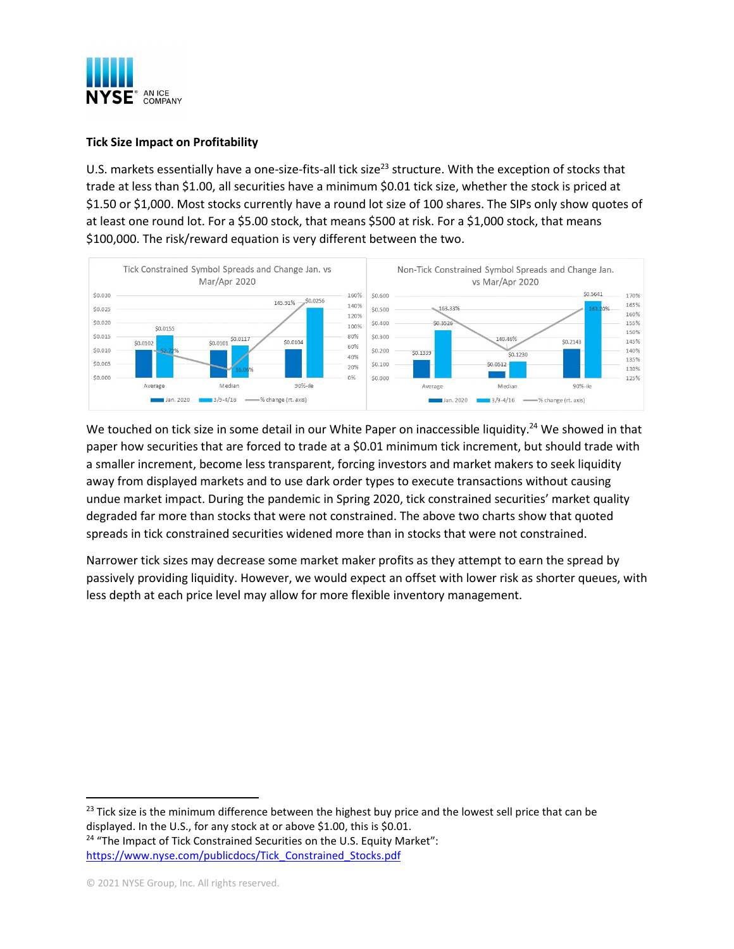

## **Tick Size Impact on Profitability**

U.S. markets essentially have a one-size-fits-all tick size<sup>23</sup> structure. With the exception of stocks that trade at less than \$1.00, all securities have a minimum \$0.01 tick size, whether the stock is priced at \$1.50 or \$1,000. Most stocks currently have a round lot size of 100 shares. The SIPs only show quotes of at least one round lot. For a \$5.00 stock, that means \$500 at risk. For a \$1,000 stock, that means \$100,000. The risk/reward equation is very different between the two.



We touched on tick size in some detail in our White Paper on inaccessible liquidity.<sup>24</sup> We showed in that paper how securities that are forced to trade at a \$0.01 minimum tick increment, but should trade with a smaller increment, become less transparent, forcing investors and market makers to seek liquidity away from displayed markets and to use dark order types to execute transactions without causing undue market impact. During the pandemic in Spring 2020, tick constrained securities' market quality degraded far more than stocks that were not constrained. The above two charts show that quoted spreads in tick constrained securities widened more than in stocks that were not constrained.

Narrower tick sizes may decrease some market maker profits as they attempt to earn the spread by passively providing liquidity. However, we would expect an offset with lower risk as shorter queues, with less depth at each price level may allow for more flexible inventory management.

 $23$  Tick size is the minimum difference between the highest buy price and the lowest sell price that can be displayed. In the U.S., for any stock at or above \$1.00, this is \$0.01. <sup>24</sup> "The Impact of Tick Constrained Securities on the U.S. Equity Market":

https://www.nyse.com/publicdocs/Tick\_Constrained\_Stocks.pdf

<sup>© 2021</sup> NYSE Group, Inc. All rights reserved.